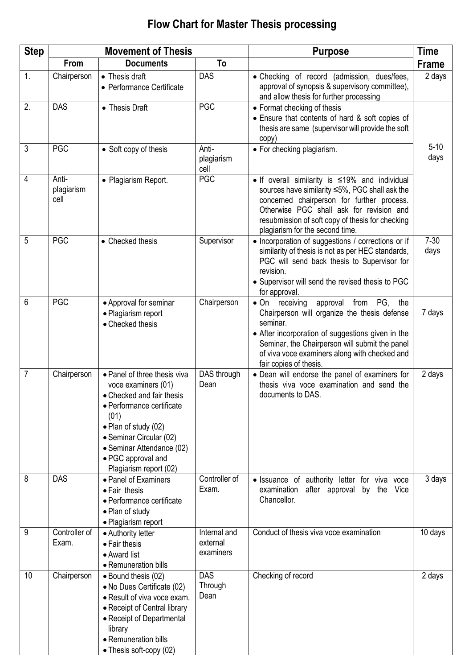## **Step Movement of Thesis Purpose Time From Documents To Frame** 1. Chairperson • Thesis draft Performance Certificate DAS • Checking of record (admission, dues/fees, approval of synopsis & supervisory committee), and allow thesis for further processing 2 days 2. | DAS | • Thesis Draft | PGC | • Format checking of thesis Ensure that contents of hard & soft copies of thesis are same (supervisor will provide the soft copy) 5-10 days 3 PGC • Soft copy of thesis Antiplagiarism cell<br>PGC • For checking plagiarism. 4 Antiplagiarism cell • Plagiarism Report. **PGC I** • If overall similarity is ≤19% and individual sources have similarity ≤5%, PGC shall ask the concerned chairperson for further process. Otherwise PGC shall ask for revision and resubmission of soft copy of thesis for checking plagiarism for the second time. 5 PGC • Checked thesis Supervisor • Incorporation of suggestions / corrections or if similarity of thesis is not as per HEC standards, PGC will send back thesis to Supervisor for revision. Supervisor will send the revised thesis to PGC for approval. 7-30 days 6 PGC • Approval for seminar Plagiarism report • Checked thesis Chairperson  $\bullet$  On receiving approval from PG, the Chairperson will organize the thesis defense seminar. After incorporation of suggestions given in the Seminar, the Chairperson will submit the panel of viva voce examiners along with checked and fair copies of thesis. 7 days 7 Chairperson • Panel of three thesis viva voce examiners (01) • Checked and fair thesis Performance certificate  $(01)$ • Plan of study (02) Seminar Circular (02) Seminar Attendance (02) PGC approval and Plagiarism report (02) DAS through Dean Dean will endorse the panel of examiners for thesis viva voce examination and send the documents to DAS. 2 days 8 DAS **Panel of Examiners** • Fair thesis Performance certificate Plan of study Plagiarism report Controller of Exam. • Issuance of authority letter for viva voce examination after approval by the Vice Chancellor. 3 days 9 Controller of Exam. Authority letter • Fair thesis Award list • Remuneration bills Internal and external examiners Conduct of thesis viva voce examination 10 days 10 | Chairperson | Bound thesis (02) No Dues Certificate (02) • Result of viva voce exam. • Receipt of Central library Receipt of Departmental library • Remuneration bills DAS **Through** Dean Checking of record 2 days

• Thesis soft-copy (02)

## **Flow Chart for Master Thesis processing**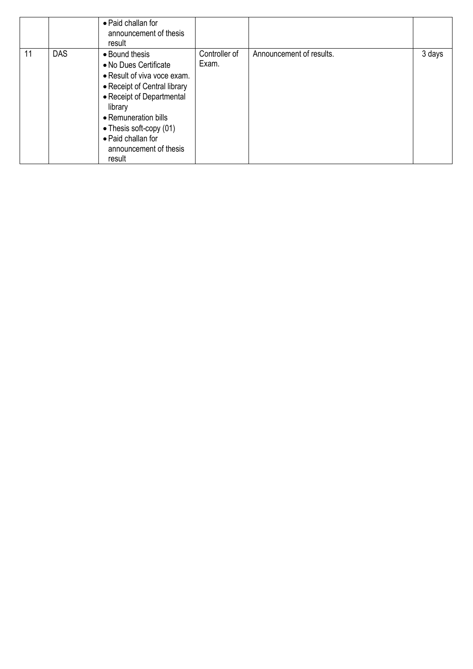|    |            | • Paid challan for<br>announcement of thesis<br>result                                                                                                                                                                                                      |                        |                          |        |
|----|------------|-------------------------------------------------------------------------------------------------------------------------------------------------------------------------------------------------------------------------------------------------------------|------------------------|--------------------------|--------|
| 11 | <b>DAS</b> | • Bound thesis<br>• No Dues Certificate<br>• Result of viva voce exam.<br>• Receipt of Central library<br>• Receipt of Departmental<br>library<br>• Remuneration bills<br>• Thesis soft-copy (01)<br>• Paid challan for<br>announcement of thesis<br>result | Controller of<br>Exam. | Announcement of results. | 3 days |